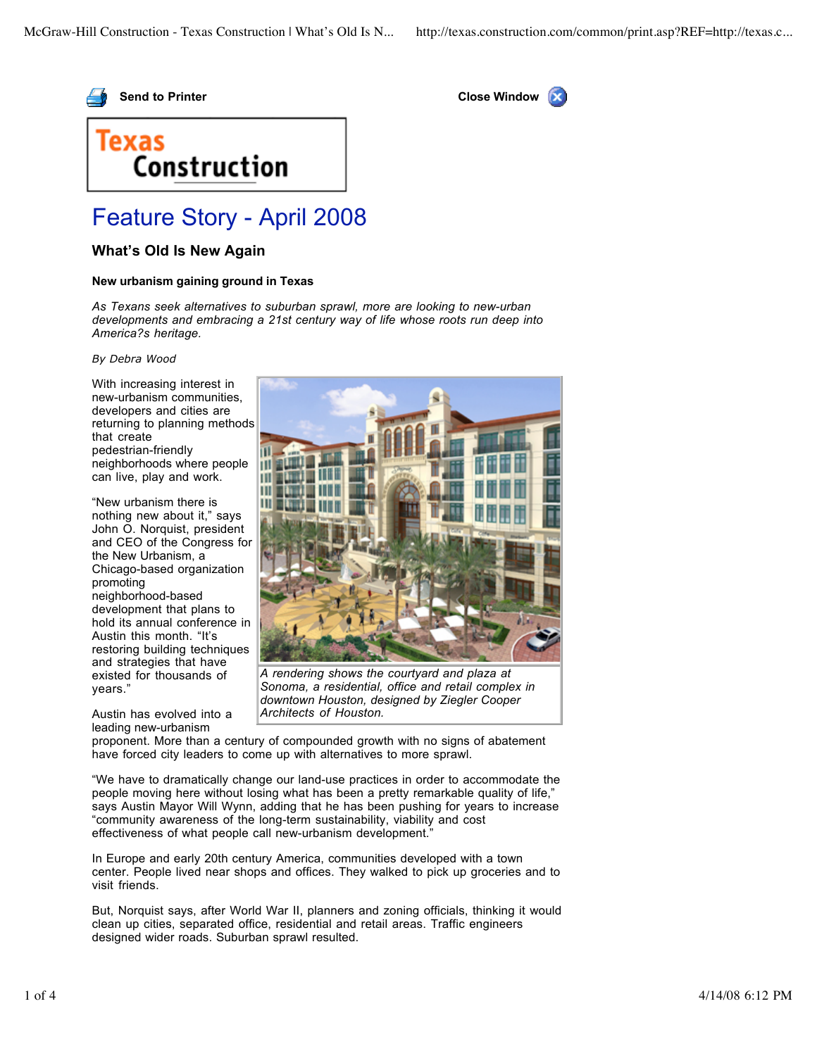



## Texas Construction

## Feature Story - April 2008

## **What's Old Is New Again**

## **New urbanism gaining ground in Texas**

*As Texans seek alternatives to suburban sprawl, more are looking to new-urban developments and embracing a 21st century way of life whose roots run deep into America?s heritage.*

*By Debra Wood*

With increasing interest in new-urbanism communities, developers and cities are returning to planning methods that create pedestrian-friendly neighborhoods where people can live, play and work.

"New urbanism there is nothing new about it," says John O. Norquist, president and CEO of the Congress for the New Urbanism, a Chicago-based organization promoting neighborhood-based development that plans to hold its annual conference in Austin this month. "It's restoring building techniques and strategies that have existed for thousands of years."

Austin has evolved into a leading new-urbanism



*A rendering shows the courtyard and plaza at Sonoma, a residential, office and retail complex in downtown Houston, designed by Ziegler Cooper Architects of Houston.*

proponent. More than a century of compounded growth with no signs of abatement have forced city leaders to come up with alternatives to more sprawl.

"We have to dramatically change our land-use practices in order to accommodate the people moving here without losing what has been a pretty remarkable quality of life," says Austin Mayor Will Wynn, adding that he has been pushing for years to increase "community awareness of the long-term sustainability, viability and cost effectiveness of what people call new-urbanism development.'

In Europe and early 20th century America, communities developed with a town center. People lived near shops and offices. They walked to pick up groceries and to visit friends.

But, Norquist says, after World War II, planners and zoning officials, thinking it would clean up cities, separated office, residential and retail areas. Traffic engineers designed wider roads. Suburban sprawl resulted.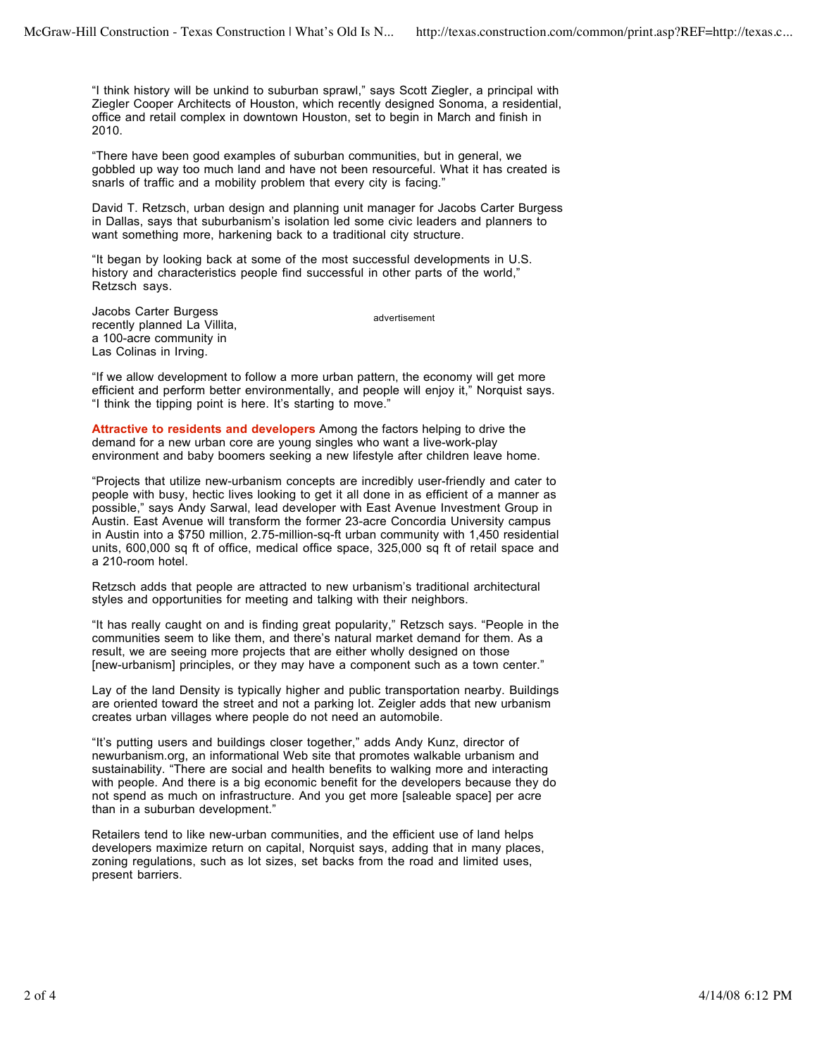"I think history will be unkind to suburban sprawl," says Scott Ziegler, a principal with Ziegler Cooper Architects of Houston, which recently designed Sonoma, a residential, office and retail complex in downtown Houston, set to begin in March and finish in 2010.

"There have been good examples of suburban communities, but in general, we gobbled up way too much land and have not been resourceful. What it has created is snarls of traffic and a mobility problem that every city is facing."

David T. Retzsch, urban design and planning unit manager for Jacobs Carter Burgess in Dallas, says that suburbanism's isolation led some civic leaders and planners to want something more, harkening back to a traditional city structure.

"It began by looking back at some of the most successful developments in U.S. history and characteristics people find successful in other parts of the world," Retzsch says.

Jacobs Carter Burgess recently planned La Villita, a 100-acre community in Las Colinas in Irving.

advertisement

"If we allow development to follow a more urban pattern, the economy will get more efficient and perform better environmentally, and people will enjoy it," Norquist says. "I think the tipping point is here. It's starting to move."

**Attractive to residents and developers** Among the factors helping to drive the demand for a new urban core are young singles who want a live-work-play environment and baby boomers seeking a new lifestyle after children leave home.

"Projects that utilize new-urbanism concepts are incredibly user-friendly and cater to people with busy, hectic lives looking to get it all done in as efficient of a manner as possible," says Andy Sarwal, lead developer with East Avenue Investment Group in Austin. East Avenue will transform the former 23-acre Concordia University campus in Austin into a \$750 million, 2.75-million-sq-ft urban community with 1,450 residential units, 600,000 sq ft of office, medical office space, 325,000 sq ft of retail space and a 210-room hotel.

Retzsch adds that people are attracted to new urbanism's traditional architectural styles and opportunities for meeting and talking with their neighbors.

"It has really caught on and is finding great popularity," Retzsch says. "People in the communities seem to like them, and there's natural market demand for them. As a result, we are seeing more projects that are either wholly designed on those [new-urbanism] principles, or they may have a component such as a town center."

Lay of the land Density is typically higher and public transportation nearby. Buildings are oriented toward the street and not a parking lot. Zeigler adds that new urbanism creates urban villages where people do not need an automobile.

"It's putting users and buildings closer together," adds Andy Kunz, director of newurbanism.org, an informational Web site that promotes walkable urbanism and sustainability. "There are social and health benefits to walking more and interacting with people. And there is a big economic benefit for the developers because they do not spend as much on infrastructure. And you get more [saleable space] per acre than in a suburban development."

Retailers tend to like new-urban communities, and the efficient use of land helps developers maximize return on capital, Norquist says, adding that in many places, zoning regulations, such as lot sizes, set backs from the road and limited uses, present barriers.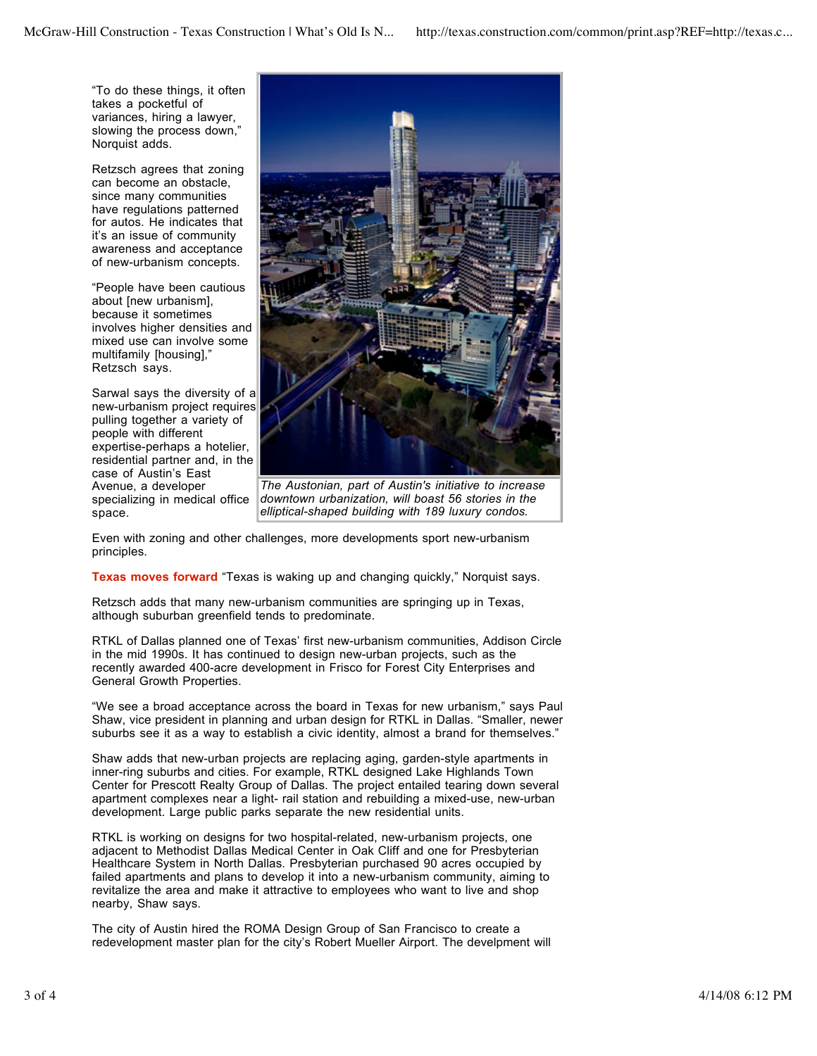"To do these things, it often takes a pocketful of variances, hiring a lawyer, slowing the process down," Norquist adds.

Retzsch agrees that zoning can become an obstacle, since many communities have regulations patterned for autos. He indicates that it's an issue of community awareness and acceptance of new-urbanism concepts.

"People have been cautious about [new urbanism], because it sometimes involves higher densities and mixed use can involve some multifamily [housing]," Retzsch says.

Sarwal says the diversity of a new-urbanism project requires pulling together a variety of people with different expertise-perhaps a hotelier, residential partner and, in the case of Austin's East Avenue, a developer specializing in medical office space.



*The Austonian, part of Austin's initiative to increase downtown urbanization, will boast 56 stories in the elliptical-shaped building with 189 luxury condos.*

Even with zoning and other challenges, more developments sport new-urbanism principles.

**Texas moves forward** "Texas is waking up and changing quickly," Norquist says.

Retzsch adds that many new-urbanism communities are springing up in Texas, although suburban greenfield tends to predominate.

RTKL of Dallas planned one of Texas' first new-urbanism communities, Addison Circle in the mid 1990s. It has continued to design new-urban projects, such as the recently awarded 400-acre development in Frisco for Forest City Enterprises and General Growth Properties.

"We see a broad acceptance across the board in Texas for new urbanism," says Paul Shaw, vice president in planning and urban design for RTKL in Dallas. "Smaller, newer suburbs see it as a way to establish a civic identity, almost a brand for themselves."

Shaw adds that new-urban projects are replacing aging, garden-style apartments in inner-ring suburbs and cities. For example, RTKL designed Lake Highlands Town Center for Prescott Realty Group of Dallas. The project entailed tearing down several apartment complexes near a light- rail station and rebuilding a mixed-use, new-urban development. Large public parks separate the new residential units.

RTKL is working on designs for two hospital-related, new-urbanism projects, one adjacent to Methodist Dallas Medical Center in Oak Cliff and one for Presbyterian Healthcare System in North Dallas. Presbyterian purchased 90 acres occupied by failed apartments and plans to develop it into a new-urbanism community, aiming to revitalize the area and make it attractive to employees who want to live and shop nearby, Shaw says.

The city of Austin hired the ROMA Design Group of San Francisco to create a redevelopment master plan for the city's Robert Mueller Airport. The develpment will